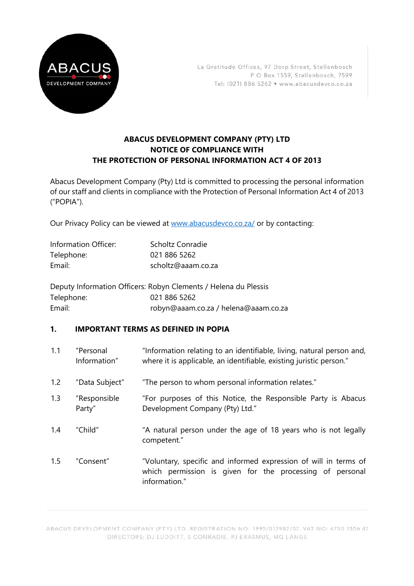

# **ABACUS DEVELOPMENT COMPANY (PTY) LTD NOTICE OF COMPLIANCE WITH THE PROTECTION OF PERSONAL INFORMATION ACT 4 OF 2013**

Abacus Development Company (Pty) Ltd is committed to processing the personal information of our staff and clients in compliance with the Protection of Personal Information Act 4 of 2013 ("POPIA").

Our Privacy Policy can be viewed at www.abacusdevco.co.za/ or by contacting:

| Information Officer: | Scholtz Conradie   |
|----------------------|--------------------|
| Telephone:           | 021 886 5262       |
| Email:               | scholtz@aaam.co.za |

| Deputy Information Officers: Robyn Clements / Helena du Plessis |                                      |
|-----------------------------------------------------------------|--------------------------------------|
| Telephone:                                                      | 021 886 5262                         |
| Email:                                                          | robyn@aaam.co.za / helena@aaam.co.za |

# **1. IMPORTANT TERMS AS DEFINED IN POPIA**

- 1.1 "Personal Information" "Information relating to an identifiable, living, natural person and, where it is applicable, an identifiable, existing juristic person."
- 1.2 "Data Subject" "The person to whom personal information relates."
- 1.3 "Responsible Party" "For purposes of this Notice, the Responsible Party is Abacus Development Company (Pty) Ltd."
- 1.4 "Child" "A natural person under the age of 18 years who is not legally competent."
- 1.5 "Consent" "Voluntary, specific and informed expression of will in terms of which permission is given for the processing of personal information."

ABACUS DEVELOPMENT COMPANY (PTY) LTD. REGISTRATION NO: 1995/012982/07. VAT NO: 4730 1556 47 DIRECTORS: DJ LUDDITT, S CONRADIE, PJ ERASMUS, MG LANGE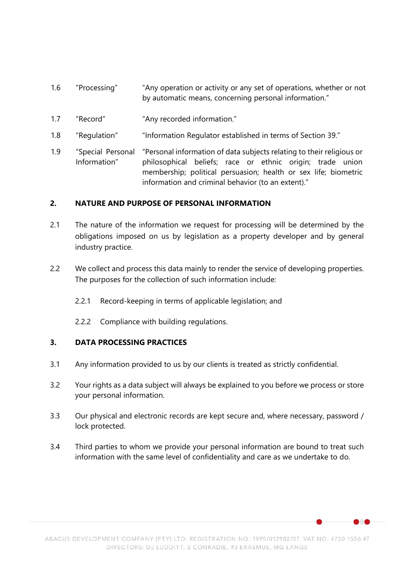- 1.6 "Processing" "Any operation or activity or any set of operations, whether or not by automatic means, concerning personal information."
- 1.7 "Record" "Any recorded information."
- 1.8 "Regulation" "Information Regulator established in terms of Section 39."
- 1.9 "Special Personal Information" "Personal information of data subjects relating to their religious or philosophical beliefs; race or ethnic origin; trade union membership; political persuasion; health or sex life; biometric information and criminal behavior (to an extent)."

### **2. NATURE AND PURPOSE OF PERSONAL INFORMATION**

- 2.1 The nature of the information we request for processing will be determined by the obligations imposed on us by legislation as a property developer and by general industry practice.
- 2.2 We collect and process this data mainly to render the service of developing properties. The purposes for the collection of such information include:
	- 2.2.1 Record-keeping in terms of applicable legislation; and
	- 2.2.2 Compliance with building regulations.

## **3. DATA PROCESSING PRACTICES**

- 3.1 Any information provided to us by our clients is treated as strictly confidential.
- 3.2 Your rights as a data subject will always be explained to you before we process or store your personal information.
- 3.3 Our physical and electronic records are kept secure and, where necessary, password / lock protected.
- 3.4 Third parties to whom we provide your personal information are bound to treat such information with the same level of confidentiality and care as we undertake to do.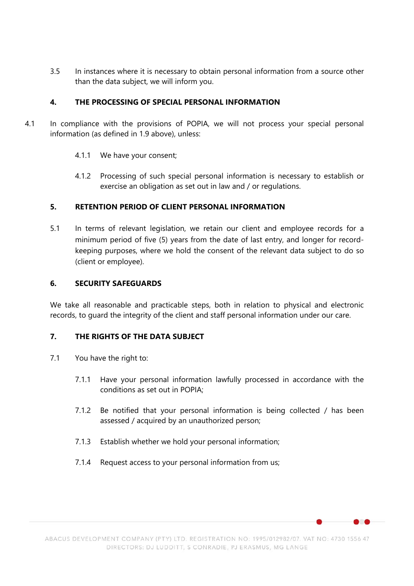3.5 In instances where it is necessary to obtain personal information from a source other than the data subject, we will inform you.

# **4. THE PROCESSING OF SPECIAL PERSONAL INFORMATION**

- 4.1 In compliance with the provisions of POPIA, we will not process your special personal information (as defined in 1.9 above), unless:
	- 4.1.1 We have your consent;
	- 4.1.2 Processing of such special personal information is necessary to establish or exercise an obligation as set out in law and / or regulations.

## **5. RETENTION PERIOD OF CLIENT PERSONAL INFORMATION**

5.1 In terms of relevant legislation, we retain our client and employee records for a minimum period of five (5) years from the date of last entry, and longer for recordkeeping purposes, where we hold the consent of the relevant data subject to do so (client or employee).

#### **6. SECURITY SAFEGUARDS**

We take all reasonable and practicable steps, both in relation to physical and electronic records, to guard the integrity of the client and staff personal information under our care.

## **7. THE RIGHTS OF THE DATA SUBJECT**

- 7.1 You have the right to:
	- 7.1.1 Have your personal information lawfully processed in accordance with the conditions as set out in POPIA;
	- 7.1.2 Be notified that your personal information is being collected / has been assessed / acquired by an unauthorized person;
	- 7.1.3 Establish whether we hold your personal information;
	- 7.1.4 Request access to your personal information from us;